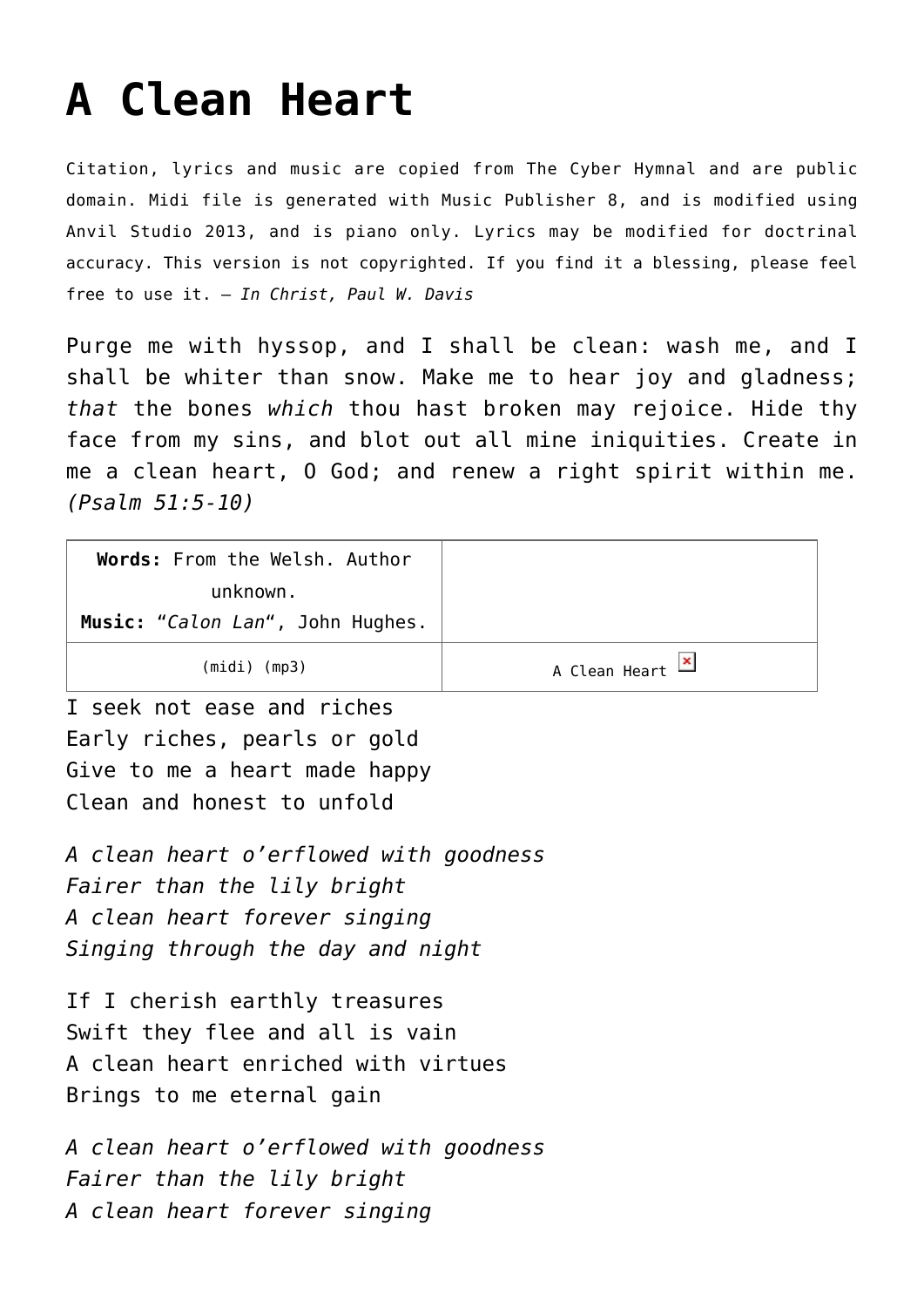## **[A Clean Heart](http://reproachofmen.org/hymns-and-music/a-clean-heart/)**

Citation, lyrics and music are copied from [The Cyber Hymnal](http://www.hymntime.com/tch/) and are public domain. Midi file is generated with [Music Publisher 8](http://www.braeburn.co.uk/mp.htm), and is modified using [Anvil Studio 2013](http://www.anvilstudio.com/), and is piano only. Lyrics may be modified for doctrinal accuracy. This version is not copyrighted. If you find it a blessing, please feel free to use it. — *In Christ, Paul W. Davis*

Purge me with hyssop, and I shall be clean: wash me, and I shall be whiter than snow. Make me to hear joy and gladness; *that* the bones *which* thou hast broken may rejoice. Hide thy face from my sins, and blot out all mine iniquities. Create in me a clean heart, O God; and renew a right spirit within me. *(Psalm 51:5-10)*

| Words: From the Welsh. Author    |                 |
|----------------------------------|-----------------|
| unknown.                         |                 |
| Music: "Calon Lan", John Hughes. |                 |
| $(midi)$ (mp3)                   | A Clean Heart X |

I seek not ease and riches Early riches, pearls or gold Give to me a heart made happy Clean and honest to unfold

*A clean heart o'erflowed with goodness Fairer than the lily bright A clean heart forever singing Singing through the day and night*

If I cherish earthly treasures Swift they flee and all is vain A clean heart enriched with virtues Brings to me eternal gain

*A clean heart o'erflowed with goodness Fairer than the lily bright A clean heart forever singing*